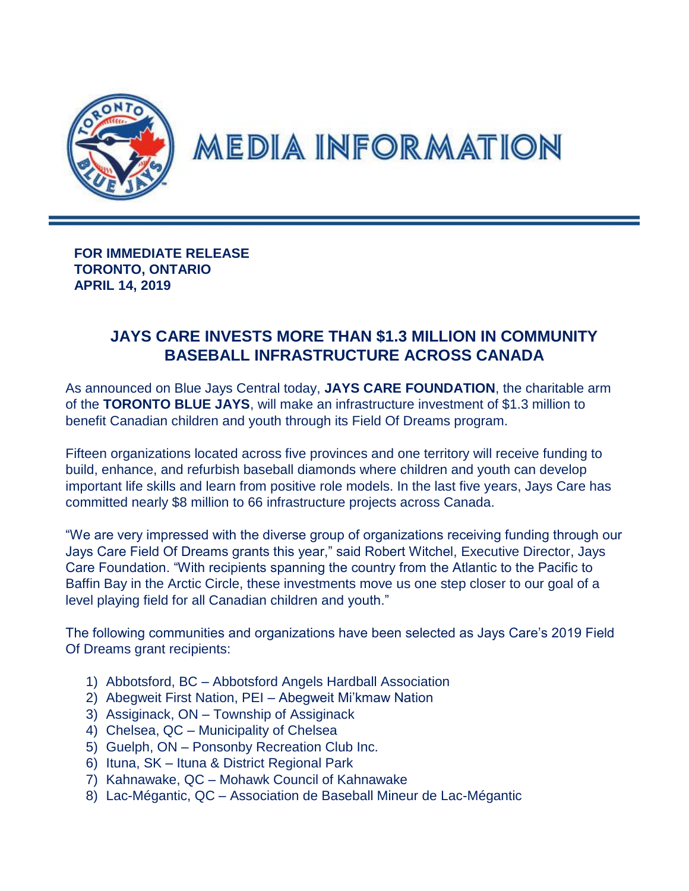

## **MEDIA INFORMATION**

**FOR IMMEDIATE RELEASE TORONTO, ONTARIO APRIL 14, 2019**

## **JAYS CARE INVESTS MORE THAN \$1.3 MILLION IN COMMUNITY BASEBALL INFRASTRUCTURE ACROSS CANADA**

As announced on Blue Jays Central today, **JAYS CARE FOUNDATION**, the charitable arm of the **TORONTO BLUE JAYS**, will make an infrastructure investment of \$1.3 million to benefit Canadian children and youth through its Field Of Dreams program.

Fifteen organizations located across five provinces and one territory will receive funding to build, enhance, and refurbish baseball diamonds where children and youth can develop important life skills and learn from positive role models. In the last five years, Jays Care has committed nearly \$8 million to 66 infrastructure projects across Canada.

"We are very impressed with the diverse group of organizations receiving funding through our Jays Care Field Of Dreams grants this year," said Robert Witchel, Executive Director, Jays Care Foundation. "With recipients spanning the country from the Atlantic to the Pacific to Baffin Bay in the Arctic Circle, these investments move us one step closer to our goal of a level playing field for all Canadian children and youth."

The following communities and organizations have been selected as Jays Care's 2019 Field Of Dreams grant recipients:

- 1) Abbotsford, BC Abbotsford Angels Hardball Association
- 2) Abegweit First Nation, PEI Abegweit Mi'kmaw Nation
- 3) Assiginack, ON Township of Assiginack
- 4) Chelsea, QC Municipality of Chelsea
- 5) Guelph, ON Ponsonby Recreation Club Inc.
- 6) Ituna, SK Ituna & District Regional Park
- 7) Kahnawake, QC Mohawk Council of Kahnawake
- 8) Lac-Mégantic, QC Association de Baseball Mineur de Lac-Mégantic